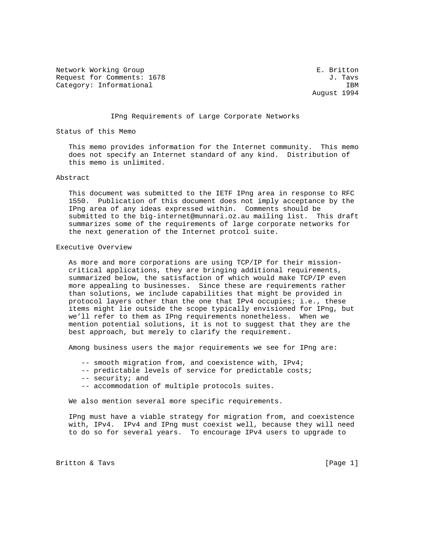Network Working Group **E. Britton** Request for Comments: 1678 J. Tavs Category: Informational IBM

August 1994

#### IPng Requirements of Large Corporate Networks

Status of this Memo

 This memo provides information for the Internet community. This memo does not specify an Internet standard of any kind. Distribution of this memo is unlimited.

# Abstract

 This document was submitted to the IETF IPng area in response to RFC 1550. Publication of this document does not imply acceptance by the IPng area of any ideas expressed within. Comments should be submitted to the big-internet@munnari.oz.au mailing list. This draft summarizes some of the requirements of large corporate networks for the next generation of the Internet protcol suite.

#### Executive Overview

 As more and more corporations are using TCP/IP for their mission critical applications, they are bringing additional requirements, summarized below, the satisfaction of which would make TCP/IP even more appealing to businesses. Since these are requirements rather than solutions, we include capabilities that might be provided in protocol layers other than the one that IPv4 occupies; i.e., these items might lie outside the scope typically envisioned for IPng, but we'll refer to them as IPng requirements nonetheless. When we mention potential solutions, it is not to suggest that they are the best approach, but merely to clarify the requirement.

Among business users the major requirements we see for IPng are:

- -- smooth migration from, and coexistence with, IPv4;
- -- predictable levels of service for predictable costs;
- -- security; and
- -- accommodation of multiple protocols suites.

We also mention several more specific requirements.

 IPng must have a viable strategy for migration from, and coexistence with, IPv4. IPv4 and IPng must coexist well, because they will need to do so for several years. To encourage IPv4 users to upgrade to

Britton & Tavs [Page 1]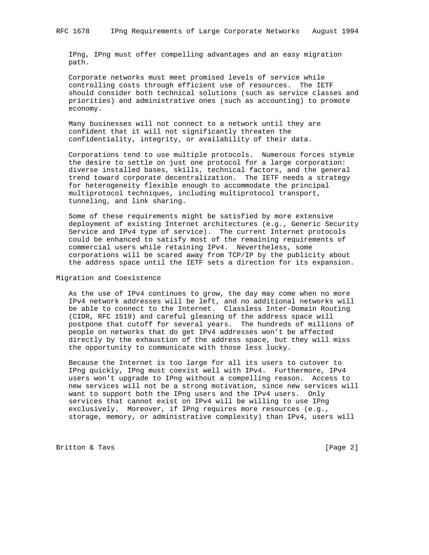IPng, IPng must offer compelling advantages and an easy migration path.

 Corporate networks must meet promised levels of service while controlling costs through efficient use of resources. The IETF should consider both technical solutions (such as service classes and priorities) and administrative ones (such as accounting) to promote economy.

 Many businesses will not connect to a network until they are confident that it will not significantly threaten the confidentiality, integrity, or availability of their data.

 Corporations tend to use multiple protocols. Numerous forces stymie the desire to settle on just one protocol for a large corporation: diverse installed bases, skills, technical factors, and the general trend toward corporate decentralization. The IETF needs a strategy for heterogeneity flexible enough to accommodate the principal multiprotocol techniques, including multiprotocol transport, tunneling, and link sharing.

 Some of these requirements might be satisfied by more extensive deployment of existing Internet architectures (e.g., Generic Security Service and IPv4 type of service). The current Internet protocols could be enhanced to satisfy most of the remaining requirements of commercial users while retaining IPv4. Nevertheless, some corporations will be scared away from TCP/IP by the publicity about the address space until the IETF sets a direction for its expansion.

Migration and Coexistence

 As the use of IPv4 continues to grow, the day may come when no more IPv4 network addresses will be left, and no additional networks will be able to connect to the Internet. Classless Inter-Domain Routing (CIDR, RFC 1519) and careful gleaning of the address space will postpone that cutoff for several years. The hundreds of millions of people on networks that do get IPv4 addresses won't be affected directly by the exhaustion of the address space, but they will miss the opportunity to communicate with those less lucky.

 Because the Internet is too large for all its users to cutover to IPng quickly, IPng must coexist well with IPv4. Furthermore, IPv4 users won't upgrade to IPng without a compelling reason. Access to new services will not be a strong motivation, since new services will want to support both the IPng users and the IPv4 users. Only services that cannot exist on IPv4 will be willing to use IPng exclusively. Moreover, if IPng requires more resources (e.g., storage, memory, or administrative complexity) than IPv4, users will

Britton & Tavs [Page 2]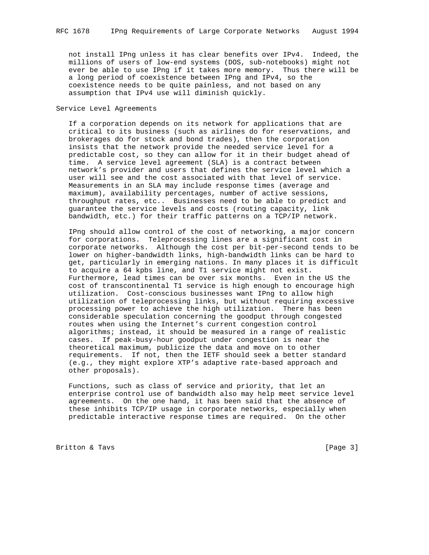not install IPng unless it has clear benefits over IPv4. Indeed, the millions of users of low-end systems (DOS, sub-notebooks) might not ever be able to use IPng if it takes more memory. Thus there will be a long period of coexistence between IPng and IPv4, so the coexistence needs to be quite painless, and not based on any assumption that IPv4 use will diminish quickly.

Service Level Agreements

 If a corporation depends on its network for applications that are critical to its business (such as airlines do for reservations, and brokerages do for stock and bond trades), then the corporation insists that the network provide the needed service level for a predictable cost, so they can allow for it in their budget ahead of time. A service level agreement (SLA) is a contract between network's provider and users that defines the service level which a user will see and the cost associated with that level of service. Measurements in an SLA may include response times (average and maximum), availability percentages, number of active sessions, throughput rates, etc.. Businesses need to be able to predict and guarantee the service levels and costs (routing capacity, link bandwidth, etc.) for their traffic patterns on a TCP/IP network.

 IPng should allow control of the cost of networking, a major concern for corporations. Teleprocessing lines are a significant cost in corporate networks. Although the cost per bit-per-second tends to be lower on higher-bandwidth links, high-bandwidth links can be hard to get, particularly in emerging nations. In many places it is difficult to acquire a 64 kpbs line, and T1 service might not exist. Furthermore, lead times can be over six months. Even in the US the cost of transcontinental T1 service is high enough to encourage high utilization. Cost-conscious businesses want IPng to allow high utilization of teleprocessing links, but without requiring excessive processing power to achieve the high utilization. There has been considerable speculation concerning the goodput through congested routes when using the Internet's current congestion control algorithms; instead, it should be measured in a range of realistic cases. If peak-busy-hour goodput under congestion is near the theoretical maximum, publicize the data and move on to other requirements. If not, then the IETF should seek a better standard (e.g., they might explore XTP's adaptive rate-based approach and other proposals).

 Functions, such as class of service and priority, that let an enterprise control use of bandwidth also may help meet service level agreements. On the one hand, it has been said that the absence of these inhibits TCP/IP usage in corporate networks, especially when predictable interactive response times are required. On the other

Britton & Tavs [Page 3]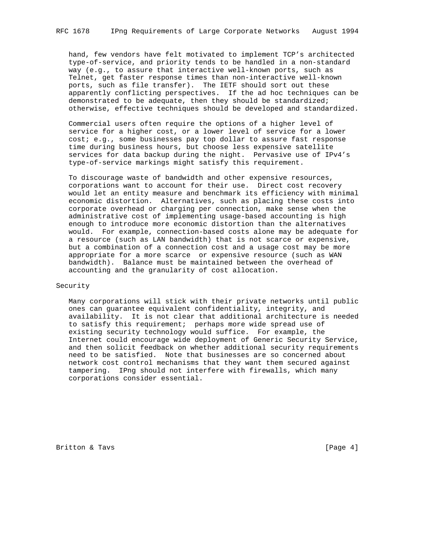hand, few vendors have felt motivated to implement TCP's architected type-of-service, and priority tends to be handled in a non-standard way (e.g., to assure that interactive well-known ports, such as Telnet, get faster response times than non-interactive well-known ports, such as file transfer). The IETF should sort out these apparently conflicting perspectives. If the ad hoc techniques can be demonstrated to be adequate, then they should be standardized; otherwise, effective techniques should be developed and standardized.

 Commercial users often require the options of a higher level of service for a higher cost, or a lower level of service for a lower cost; e.g., some businesses pay top dollar to assure fast response time during business hours, but choose less expensive satellite services for data backup during the night. Pervasive use of IPv4's type-of-service markings might satisfy this requirement.

 To discourage waste of bandwidth and other expensive resources, corporations want to account for their use. Direct cost recovery would let an entity measure and benchmark its efficiency with minimal economic distortion. Alternatives, such as placing these costs into corporate overhead or charging per connection, make sense when the administrative cost of implementing usage-based accounting is high enough to introduce more economic distortion than the alternatives would. For example, connection-based costs alone may be adequate for a resource (such as LAN bandwidth) that is not scarce or expensive, but a combination of a connection cost and a usage cost may be more appropriate for a more scarce or expensive resource (such as WAN bandwidth). Balance must be maintained between the overhead of accounting and the granularity of cost allocation.

# Security

 Many corporations will stick with their private networks until public ones can guarantee equivalent confidentiality, integrity, and availability. It is not clear that additional architecture is needed to satisfy this requirement; perhaps more wide spread use of existing security technology would suffice. For example, the Internet could encourage wide deployment of Generic Security Service, and then solicit feedback on whether additional security requirements need to be satisfied. Note that businesses are so concerned about network cost control mechanisms that they want them secured against tampering. IPng should not interfere with firewalls, which many corporations consider essential.

Britton & Tavs [Page 4]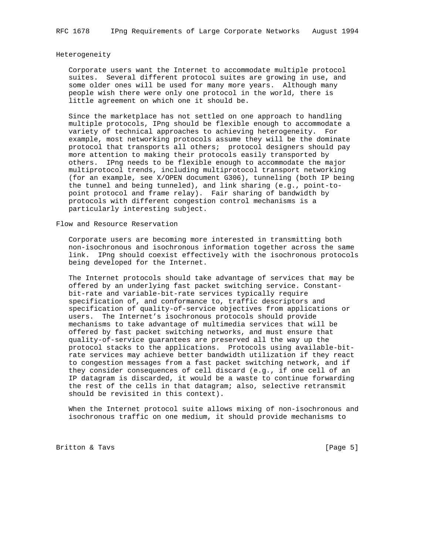#### Heterogeneity

 Corporate users want the Internet to accommodate multiple protocol suites. Several different protocol suites are growing in use, and some older ones will be used for many more years. Although many people wish there were only one protocol in the world, there is little agreement on which one it should be.

 Since the marketplace has not settled on one approach to handling multiple protocols, IPng should be flexible enough to accommodate a variety of technical approaches to achieving heterogeneity. For example, most networking protocols assume they will be the dominate protocol that transports all others; protocol designers should pay more attention to making their protocols easily transported by others. IPng needs to be flexible enough to accommodate the major multiprotocol trends, including multiprotocol transport networking (for an example, see X/OPEN document G306), tunneling (both IP being the tunnel and being tunneled), and link sharing (e.g., point-to point protocol and frame relay). Fair sharing of bandwidth by protocols with different congestion control mechanisms is a particularly interesting subject.

Flow and Resource Reservation

 Corporate users are becoming more interested in transmitting both non-isochronous and isochronous information together across the same link. IPng should coexist effectively with the isochronous protocols being developed for the Internet.

 The Internet protocols should take advantage of services that may be offered by an underlying fast packet switching service. Constant bit-rate and variable-bit-rate services typically require specification of, and conformance to, traffic descriptors and specification of quality-of-service objectives from applications or users. The Internet's isochronous protocols should provide mechanisms to take advantage of multimedia services that will be offered by fast packet switching networks, and must ensure that quality-of-service guarantees are preserved all the way up the protocol stacks to the applications. Protocols using available-bit rate services may achieve better bandwidth utilization if they react to congestion messages from a fast packet switching network, and if they consider consequences of cell discard (e.g., if one cell of an IP datagram is discarded, it would be a waste to continue forwarding the rest of the cells in that datagram; also, selective retransmit should be revisited in this context).

 When the Internet protocol suite allows mixing of non-isochronous and isochronous traffic on one medium, it should provide mechanisms to

Britton & Tavs [Page 5]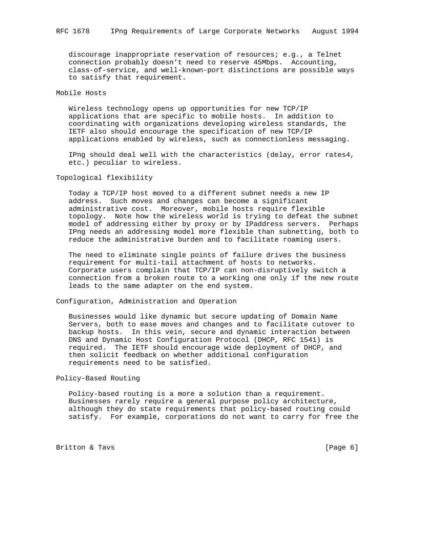discourage inappropriate reservation of resources; e.g., a Telnet connection probably doesn't need to reserve 45Mbps. Accounting, class-of-service, and well-known-port distinctions are possible ways to satisfy that requirement.

# Mobile Hosts

 Wireless technology opens up opportunities for new TCP/IP applications that are specific to mobile hosts. In addition to coordinating with organizations developing wireless standards, the IETF also should encourage the specification of new TCP/IP applications enabled by wireless, such as connectionless messaging.

 IPng should deal well with the characteristics (delay, error rates4, etc.) peculiar to wireless.

Topological flexibility

 Today a TCP/IP host moved to a different subnet needs a new IP address. Such moves and changes can become a significant administrative cost. Moreover, mobile hosts require flexible topology. Note how the wireless world is trying to defeat the subnet model of addressing either by proxy or by IPaddress servers. Perhaps IPng needs an addressing model more flexible than subnetting, both to reduce the administrative burden and to facilitate roaming users.

 The need to eliminate single points of failure drives the business requirement for multi-tail attachment of hosts to networks. Corporate users complain that TCP/IP can non-disruptively switch a connection from a broken route to a working one only if the new route leads to the same adapter on the end system.

Configuration, Administration and Operation

 Businesses would like dynamic but secure updating of Domain Name Servers, both to ease moves and changes and to facilitate cutover to backup hosts. In this vein, secure and dynamic interaction between DNS and Dynamic Host Configuration Protocol (DHCP, RFC 1541) is required. The IETF should encourage wide deployment of DHCP, and then solicit feedback on whether additional configuration requirements need to be satisfied.

#### Policy-Based Routing

 Policy-based routing is a more a solution than a requirement. Businesses rarely require a general purpose policy architecture, although they do state requirements that policy-based routing could satisfy. For example, corporations do not want to carry for free the

Britton & Tavs [Page 6]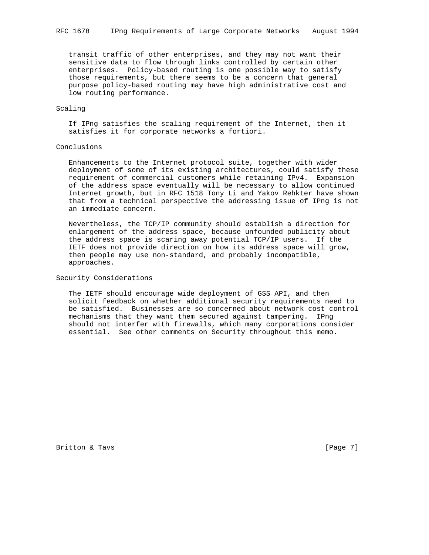transit traffic of other enterprises, and they may not want their sensitive data to flow through links controlled by certain other enterprises. Policy-based routing is one possible way to satisfy those requirements, but there seems to be a concern that general purpose policy-based routing may have high administrative cost and low routing performance.

# Scaling

 If IPng satisfies the scaling requirement of the Internet, then it satisfies it for corporate networks a fortiori.

# Conclusions

 Enhancements to the Internet protocol suite, together with wider deployment of some of its existing architectures, could satisfy these requirement of commercial customers while retaining IPv4. Expansion of the address space eventually will be necessary to allow continued Internet growth, but in RFC 1518 Tony Li and Yakov Rehkter have shown that from a technical perspective the addressing issue of IPng is not an immediate concern.

 Nevertheless, the TCP/IP community should establish a direction for enlargement of the address space, because unfounded publicity about the address space is scaring away potential TCP/IP users. If the IETF does not provide direction on how its address space will grow, then people may use non-standard, and probably incompatible, approaches.

#### Security Considerations

 The IETF should encourage wide deployment of GSS API, and then solicit feedback on whether additional security requirements need to be satisfied. Businesses are so concerned about network cost control mechanisms that they want them secured against tampering. IPng should not interfer with firewalls, which many corporations consider essential. See other comments on Security throughout this memo.

Britton & Tavs [Page 7]